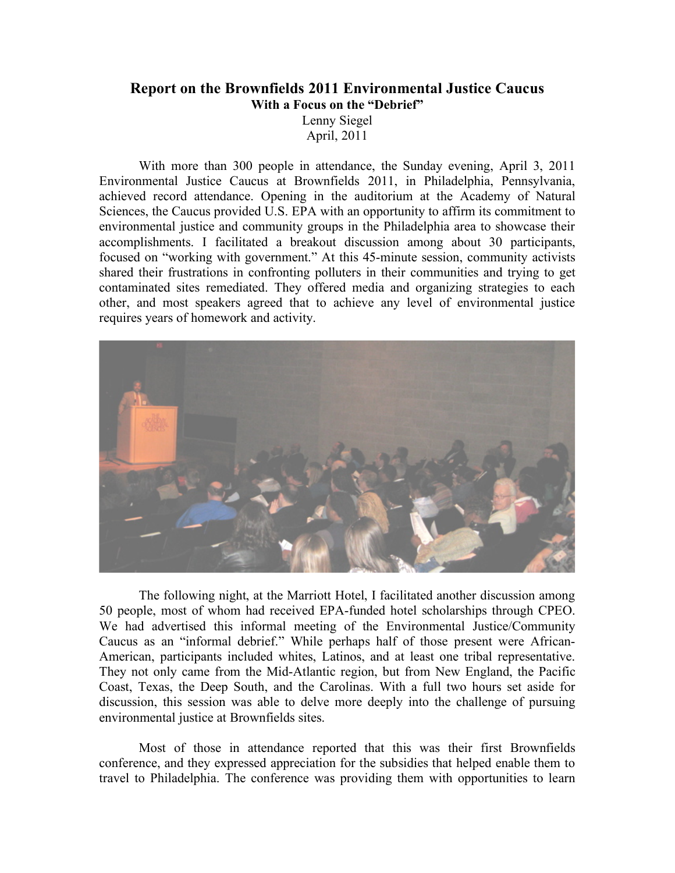## **Report on the Brownfields 2011 Environmental Justice Caucus With a Focus on the "Debrief"**

Lenny Siegel April, 2011

With more than 300 people in attendance, the Sunday evening, April 3, 2011 Environmental Justice Caucus at Brownfields 2011, in Philadelphia, Pennsylvania, achieved record attendance. Opening in the auditorium at the Academy of Natural Sciences, the Caucus provided U.S. EPA with an opportunity to affirm its commitment to environmental justice and community groups in the Philadelphia area to showcase their accomplishments. I facilitated a breakout discussion among about 30 participants, focused on "working with government." At this 45-minute session, community activists shared their frustrations in confronting polluters in their communities and trying to get contaminated sites remediated. They offered media and organizing strategies to each other, and most speakers agreed that to achieve any level of environmental justice requires years of homework and activity.



The following night, at the Marriott Hotel, I facilitated another discussion among 50 people, most of whom had received EPA-funded hotel scholarships through CPEO. We had advertised this informal meeting of the Environmental Justice/Community Caucus as an "informal debrief." While perhaps half of those present were African-American, participants included whites, Latinos, and at least one tribal representative. They not only came from the Mid-Atlantic region, but from New England, the Pacific Coast, Texas, the Deep South, and the Carolinas. With a full two hours set aside for discussion, this session was able to delve more deeply into the challenge of pursuing environmental justice at Brownfields sites.

Most of those in attendance reported that this was their first Brownfields conference, and they expressed appreciation for the subsidies that helped enable them to travel to Philadelphia. The conference was providing them with opportunities to learn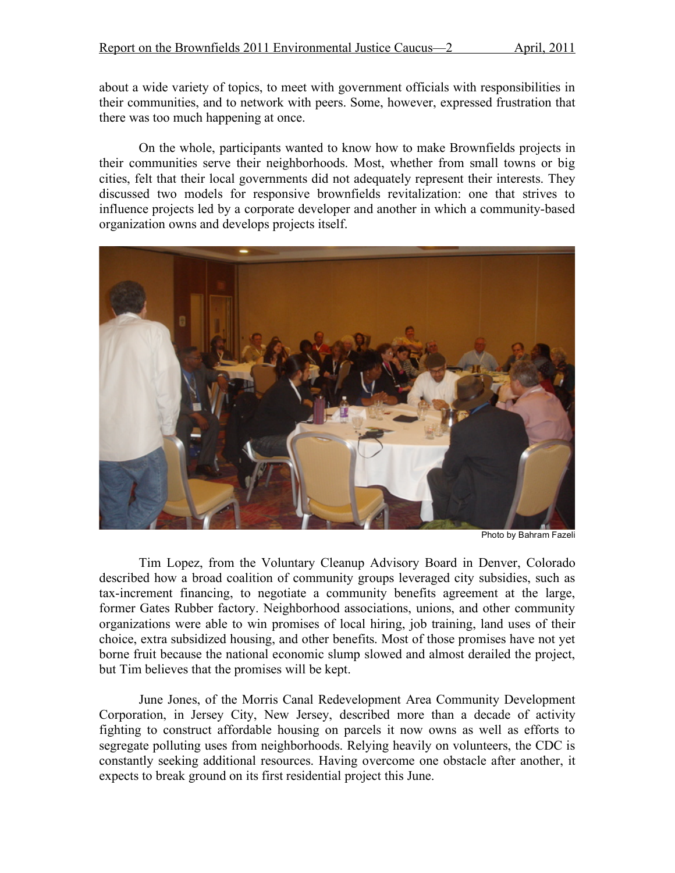about a wide variety of topics, to meet with government officials with responsibilities in their communities, and to network with peers. Some, however, expressed frustration that there was too much happening at once.

On the whole, participants wanted to know how to make Brownfields projects in their communities serve their neighborhoods. Most, whether from small towns or big cities, felt that their local governments did not adequately represent their interests. They discussed two models for responsive brownfields revitalization: one that strives to influence projects led by a corporate developer and another in which a community-based organization owns and develops projects itself.



Photo by Bahram Fazeli

Tim Lopez, from the Voluntary Cleanup Advisory Board in Denver, Colorado described how a broad coalition of community groups leveraged city subsidies, such as tax-increment financing, to negotiate a community benefits agreement at the large, former Gates Rubber factory. Neighborhood associations, unions, and other community organizations were able to win promises of local hiring, job training, land uses of their choice, extra subsidized housing, and other benefits. Most of those promises have not yet borne fruit because the national economic slump slowed and almost derailed the project, but Tim believes that the promises will be kept.

June Jones, of the Morris Canal Redevelopment Area Community Development Corporation, in Jersey City, New Jersey, described more than a decade of activity fighting to construct affordable housing on parcels it now owns as well as efforts to segregate polluting uses from neighborhoods. Relying heavily on volunteers, the CDC is constantly seeking additional resources. Having overcome one obstacle after another, it expects to break ground on its first residential project this June.